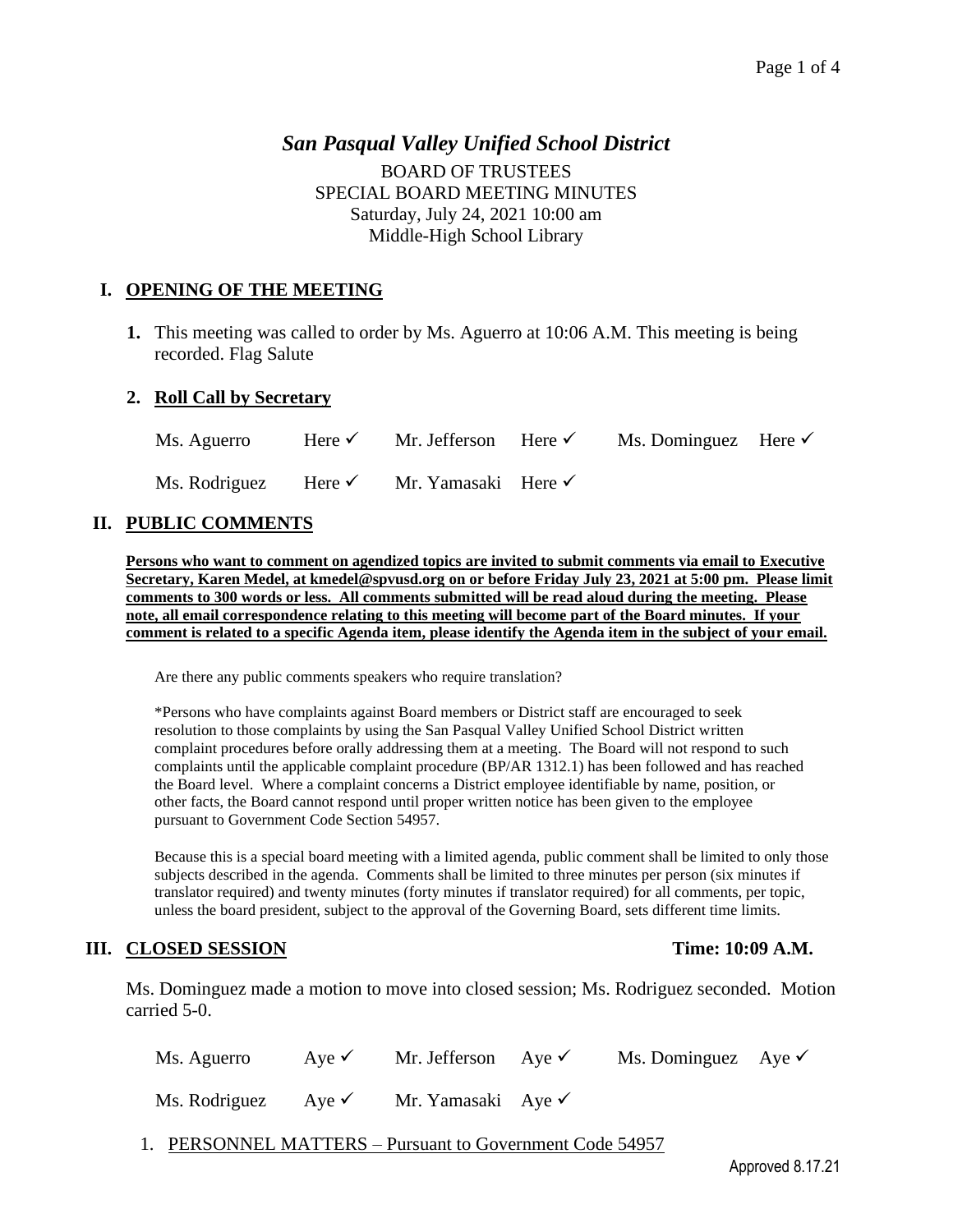# *San Pasqual Valley Unified School District* BOARD OF TRUSTEES SPECIAL BOARD MEETING MINUTES Saturday, July 24, 2021 10:00 am Middle-High School Library

## **I. OPENING OF THE MEETING**

**1.** This meeting was called to order by Ms. Aguerro at 10:06 A.M. This meeting is being recorded. Flag Salute

### **2. Roll Call by Secretary**

Ms. Aguerro Here <del>V</del> Mr. Jefferson Here V Ms. Dominguez Here V Ms. Rodriguez Here <del>V</del> Mr. Yamasaki Here V

### **II. PUBLIC COMMENTS**

**Persons who want to comment on agendized topics are invited to submit comments via email to Executive Secretary, Karen Medel, at kmedel@spvusd.org on or before Friday July 23, 2021 at 5:00 pm. Please limit comments to 300 words or less. All comments submitted will be read aloud during the meeting. Please note, all email correspondence relating to this meeting will become part of the Board minutes. If your comment is related to a specific Agenda item, please identify the Agenda item in the subject of your email.**

Are there any public comments speakers who require translation?

\*Persons who have complaints against Board members or District staff are encouraged to seek resolution to those complaints by using the San Pasqual Valley Unified School District written complaint procedures before orally addressing them at a meeting. The Board will not respond to such complaints until the applicable complaint procedure (BP/AR 1312.1) has been followed and has reached the Board level. Where a complaint concerns a District employee identifiable by name, position, or other facts, the Board cannot respond until proper written notice has been given to the employee pursuant to Government Code Section 54957.

Because this is a special board meeting with a limited agenda, public comment shall be limited to only those subjects described in the agenda. Comments shall be limited to three minutes per person (six minutes if translator required) and twenty minutes (forty minutes if translator required) for all comments, per topic, unless the board president, subject to the approval of the Governing Board, sets different time limits.

### **III. CLOSED SESSION Time: 10:09 A.M.**

Ms. Dominguez made a motion to move into closed session; Ms. Rodriguez seconded. Motion carried 5-0.

| Ms. Aguerro                    | Aye $\checkmark$ | Mr. Jefferson Aye $\checkmark$ | Ms. Dominguez Aye $\checkmark$ |  |
|--------------------------------|------------------|--------------------------------|--------------------------------|--|
| Ms. Rodriguez Aye $\checkmark$ |                  | Mr. Yamasaki Aye $\checkmark$  |                                |  |

1. PERSONNEL MATTERS – Pursuant to Government Code 54957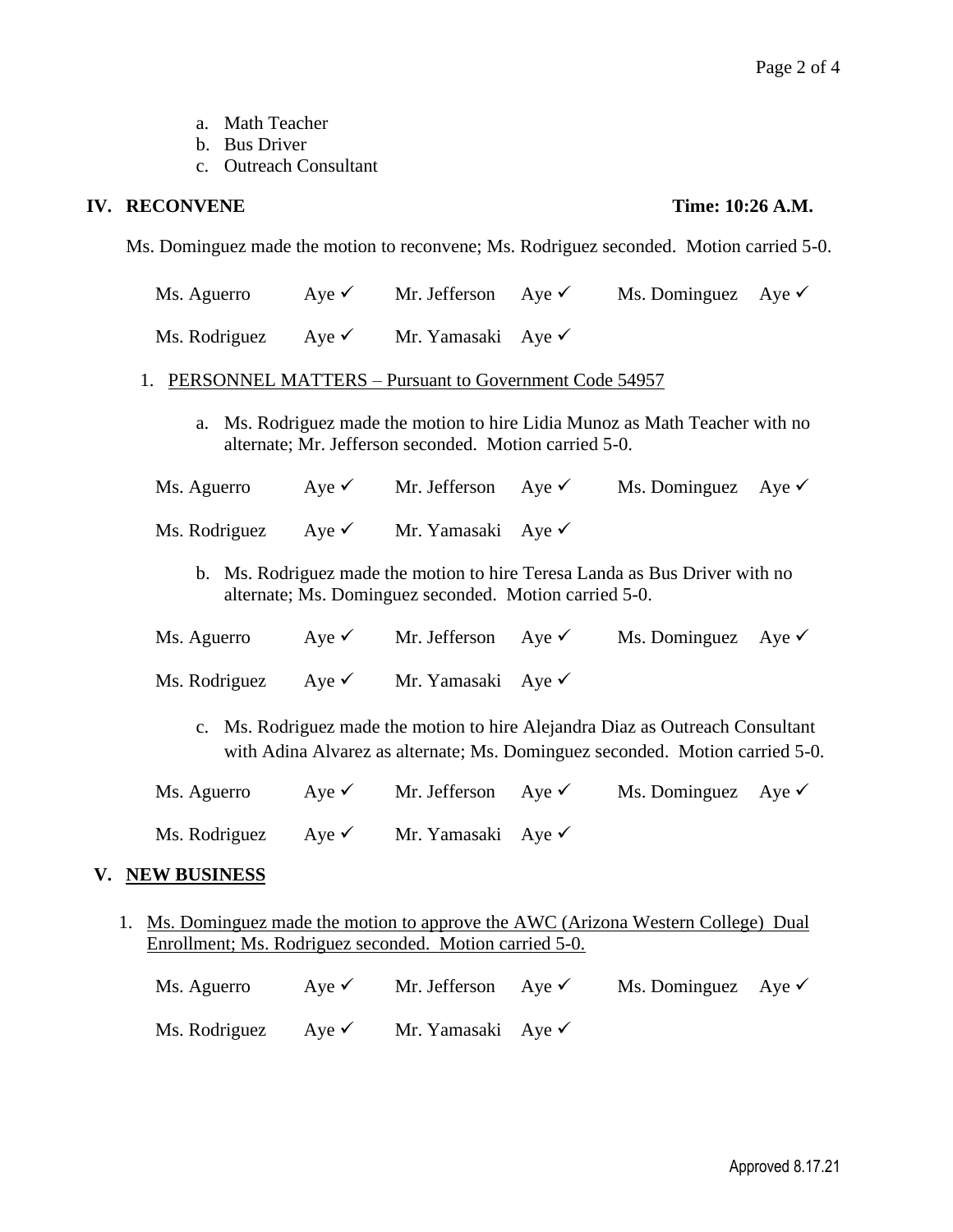- a. Math Teacher
- b. Bus Driver
- c. Outreach Consultant

## **IV. RECONVENE Time: 10:26 A.M.**

Ms. Dominguez made the motion to reconvene; Ms. Rodriguez seconded. Motion carried 5-0.

- Ms. Aguerro Aye  $\checkmark$  Mr. Jefferson Aye  $\checkmark$  Ms. Dominguez Aye  $\checkmark$
- Ms. Rodriguez Aye <del>V</del> Mr. Yamasaki Aye V

### 1. PERSONNEL MATTERS – Pursuant to Government Code 54957

- a. Ms. Rodriguez made the motion to hire Lidia Munoz as Math Teacher with no alternate; Mr. Jefferson seconded. Motion carried 5-0.
- Ms. Aguerro Aye <del>V</del> Mr. Jefferson Aye V Ms. Dominguez Aye V
- Ms. Rodriguez Aye <del>V</del> Mr. Yamasaki Aye V
	- b. Ms. Rodriguez made the motion to hire Teresa Landa as Bus Driver with no alternate; Ms. Dominguez seconded. Motion carried 5-0.
- Ms. Aguerro Aye  $\checkmark$  Mr. Jefferson Aye  $\checkmark$  Ms. Dominguez Aye  $\checkmark$

Ms. Rodriguez Aye <del>V</del> Mr. Yamasaki Aye V

- c. Ms. Rodriguez made the motion to hire Alejandra Diaz as Outreach Consultant with Adina Alvarez as alternate; Ms. Dominguez seconded. Motion carried 5-0.
- Ms. Aguerro Aye  $\checkmark$  Mr. Jefferson Aye  $\checkmark$  Ms. Dominguez Aye  $\checkmark$ Ms. Rodriguez Aye <del>V</del> Mr. Yamasaki Aye V

### **V. NEW BUSINESS**

1. Ms. Dominguez made the motion to approve the AWC (Arizona Western College) Dual Enrollment; Ms. Rodriguez seconded. Motion carried 5-0.

| Ms. Aguerro                    | Ave $\checkmark$ | Mr. Jefferson Aye $\checkmark$ | Ms. Dominguez Aye $\checkmark$ |  |
|--------------------------------|------------------|--------------------------------|--------------------------------|--|
| Ms. Rodriguez Aye $\checkmark$ |                  | Mr. Yamasaki Aye $\checkmark$  |                                |  |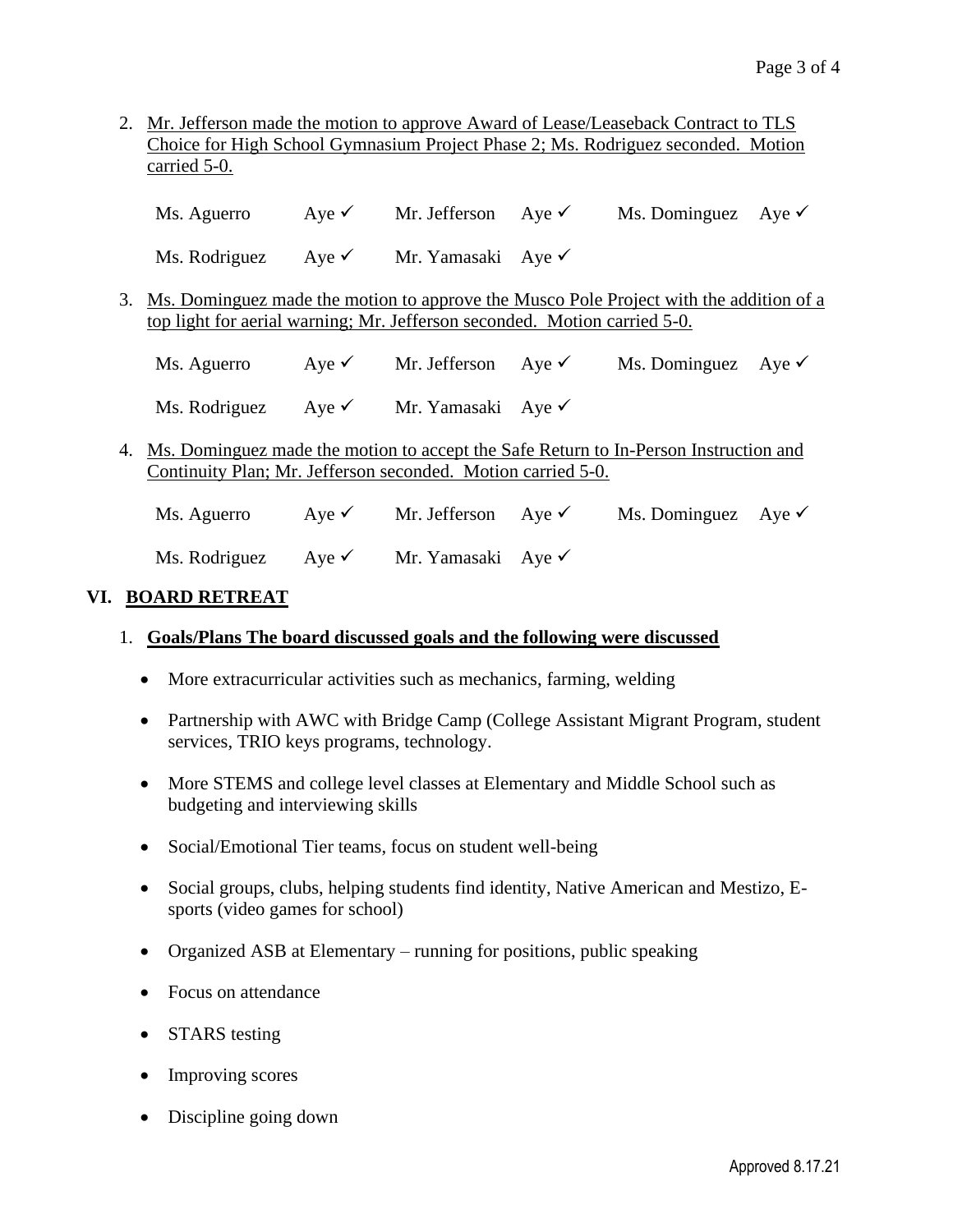2. Mr. Jefferson made the motion to approve Award of Lease/Leaseback Contract to TLS Choice for High School Gymnasium Project Phase 2; Ms. Rodriguez seconded. Motion carried 5-0.

Ms. Aguerro Aye <del>V</del> Mr. Jefferson Aye V Ms. Dominguez Aye V

Ms. Rodriguez Aye <del>V</del> Mr. Yamasaki Aye V

3. Ms. Dominguez made the motion to approve the Musco Pole Project with the addition of a top light for aerial warning; Mr. Jefferson seconded. Motion carried 5-0.

Ms. Aguerro Aye  $\checkmark$  Mr. Jefferson Aye  $\checkmark$  Ms. Dominguez Aye  $\checkmark$ 

Ms. Rodriguez Aye <del>V</del> Mr. Yamasaki Aye V

4. Ms. Dominguez made the motion to accept the Safe Return to In-Person Instruction and Continuity Plan; Mr. Jefferson seconded. Motion carried 5-0.

Ms. Aguerro Aye <del>V</del> Mr. Jefferson Aye V Ms. Dominguez Aye V Ms. Rodriguez Aye  $\checkmark$  Mr. Yamasaki Aye  $\checkmark$ 

## **VI. BOARD RETREAT**

- 1. **Goals/Plans The board discussed goals and the following were discussed**
	- More extracurricular activities such as mechanics, farming, welding
	- Partnership with AWC with Bridge Camp (College Assistant Migrant Program, student services, TRIO keys programs, technology.
	- More STEMS and college level classes at Elementary and Middle School such as budgeting and interviewing skills
	- Social/Emotional Tier teams, focus on student well-being
	- Social groups, clubs, helping students find identity, Native American and Mestizo, Esports (video games for school)
	- Organized ASB at Elementary running for positions, public speaking
	- Focus on attendance
	- STARS testing
	- Improving scores
	- Discipline going down